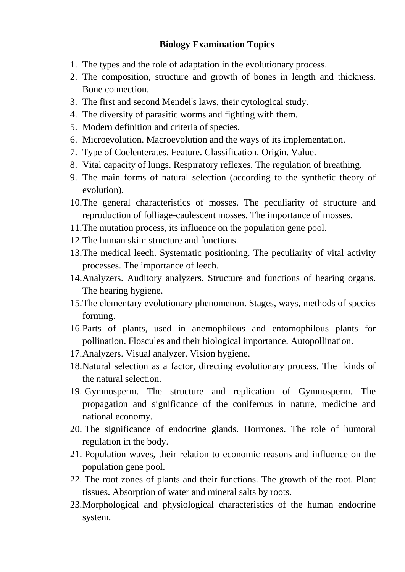## **Biology Examination Topics**

- 1. The types and the role of adaptation in the evolutionary process.
- 2. The composition, structure and growth of bones in length and thickness. Bone connection.
- 3. The first and second Mendel's laws, their cytological study.
- 4. The diversity of parasitic worms and fighting with them.
- 5. Modern definition and criteria of species.
- 6. Microevolution. Macroevolution and the ways of its implementation.
- 7. Type of Coelenterates. Feature. Classification. Origin. Value.
- 8. Vital capacity of lungs. Respiratory reflexes. The regulation of breathing.
- 9. The main forms of natural selection (according to the synthetic theory of evolution).
- 10.The general characteristics of mosses. The peculiarity of structure and reproduction of folliage-caulescent mosses. The importance of mosses.
- 11.The mutation process, its influence on the population gene pool.
- 12.The human skin: structure and functions.
- 13.The medical leech. Systematic positioning. The peculiarity of vital activity processes. The importance of leech.
- 14.Analyzers. Auditory analyzers. Structure and functions of hearing organs. The hearing hygiene.
- 15.The elementary evolutionary phenomenon. Stages, ways, methods of species forming.
- 16.Parts of plants, used in anemophilous and entomophilous plants for pollination. Floscules and their biological importance. Autopollination.
- 17.Analyzers. Visual analyzer. Vision hygiene.
- 18.Natural selection as a factor, directing evolutionary process. The kinds of the natural selection.
- 19. Gymnosperm. The structure and replication of Gymnosperm. The propagation and significance of the coniferous in nature, medicine and national economy.
- 20. The significance of endocrine glands. Hormones. The role of humoral regulation in the body.
- 21. Population waves, their relation to economic reasons and influence on the population gene pool.
- 22. The root zones of plants and their functions. The growth of the root. Plant tissues. Absorption of water and mineral salts by roots.
- 23.Morphological and physiological characteristics of the human endocrine system.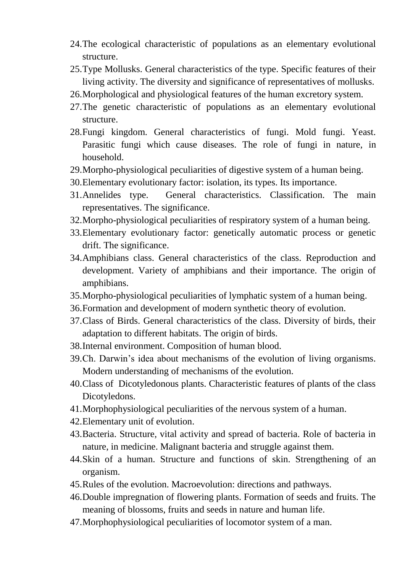- 24.The ecological characteristic of populations as an elementary evolutional structure.
- 25.Type Mollusks. General characteristics of the type. Specific features of their living activity. The diversity and significance of representatives of mollusks.
- 26.Morphological and physiological features of the human excretory system.
- 27.The genetic characteristic of populations as an elementary evolutional structure.
- 28.Fungi kingdom. General characteristics of fungi. Mold fungi. Yeast. Parasitic fungi which cause diseases. The role of fungi in nature, in household.
- 29.Morpho-physiological peculiarities of digestive system of a human being.
- 30.Elementary evolutionary factor: isolation, its types. Its importance.
- 31.Annelides type. General characteristics. Classification. The main representatives. The significance.
- 32.Morpho-physiological peculiarities of respiratory system of a human being.
- 33.Elementary evolutionary factor: genetically automatic process or genetic drift. The significance.
- 34.Amphibians class. General characteristics of the class. Reproduction and development. Variety of amphibians and their importance. The origin of amphibians.
- 35.Morpho-physiological peculiarities of lymphatic system of a human being.
- 36.Formation and development of modern synthetic theory of evolution.
- 37.Class of Birds. General characteristics of the class. Diversity of birds, their adaptation to different habitats. The origin of birds.
- 38.Internal environment. Composition of human blood.
- 39.Ch. Darwin's idea about mechanisms of the evolution of living organisms. Modern understanding of mechanisms of the evolution.
- 40.Class of Dicotyledonous plants. Characteristic features of plants of the class Dicotyledons.
- 41.Morphophysiological peculiarities of the nervous system of a human.
- 42.Elementary unit of evolution.
- 43.Bacteria. Structure, vital activity and spread of bacteria. Role of bacteria in nature, in medicine. Malignant bacteria and struggle against them.
- 44.Skin of a human. Structure and functions of skin. Strengthening of an organism.
- 45.Rules of the evolution. Macroevolution: directions and pathways.
- 46.Double impregnation of flowering plants. Formation of seeds and fruits. The meaning of blossoms, fruits and seeds in nature and human life.
- 47.Morphophysiological peculiarities of locomotor system of a man.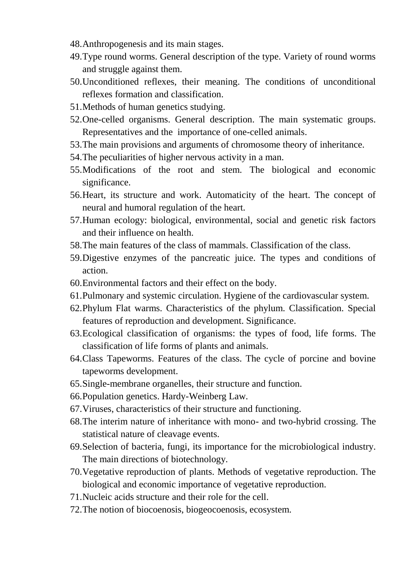- 48.Anthropogenesis and its main stages.
- 49.Type round worms. General description of the type. Variety of round worms and struggle against them.
- 50.Unconditioned reflexes, their meaning. The conditions of unconditional reflexes formation and classification.
- 51.Methods of human genetics studying.
- 52.One-celled organisms. General description. The main systematic groups. Representatives and the importance of one-celled animals.
- 53.The main provisions and arguments of chromosome theory of inheritance.
- 54.The peculiarities of higher nervous activity in a man.
- 55.Modifications of the root and stem. The biological and economic significance.
- 56.Heart, its structure and work. Automaticity of the heart. The concept of neural and humoral regulation of the heart.
- 57.Human ecology: biological, environmental, social and genetic risk factors and their influence on health.
- 58.The main features of the class of mammals. Classification of the class.
- 59.Digestive enzymes of the pancreatic juice. The types and conditions of action.
- 60.Environmental factors and their effect on the body.
- 61.Pulmonary and systemic circulation. Hygiene of the cardiovascular system.
- 62.Phylum Flat warms. Characteristics of the phylum. Classification. Special features of reproduction and development. Significance.
- 63.Ecological classification of organisms: the types of food, life forms. The classification of life forms of plants and animals.
- 64.Class Tapeworms. Features of the class. The cycle of porcine and bovine tapeworms development.
- 65.Single-membrane organelles, their structure and function.
- 66.Population genetics. Hardy-Weinberg Law.
- 67.Viruses, characteristics of their structure and functioning.
- 68.The interim nature of inheritance with mono- and two-hybrid crossing. The statistical nature of cleavage events.
- 69.Selection of bacteria, fungi, its importance for the microbiological industry. The main directions of biotechnology.
- 70.Vegetative reproduction of plants. Methods of vegetative reproduction. The biological and economic importance of vegetative reproduction.
- 71.Nucleic acids structure and their role for the cell.
- 72.The notion of biocoenosis, biogeocoenosis, ecosystem.